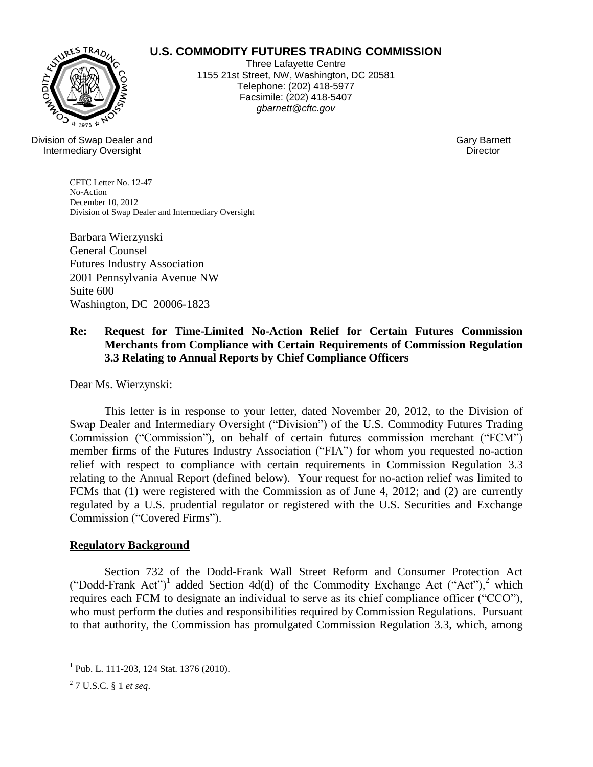# WURES TRADI

# **U.S. COMMODITY FUTURES TRADING COMMISSION**

Three Lafayette Centre 1155 21st Street, NW, Washington, DC 20581 Telephone: (202) 418-5977 Facsimile: (202) 418-5407 *gbarnett@cftc.gov*

Division of Swap Dealer and Intermediary Oversight

Gary Barnett **Director** 

CFTC Letter No. 12-47 No-Action December 10, 2012 Division of Swap Dealer and Intermediary Oversight

Barbara Wierzynski General Counsel Futures Industry Association 2001 Pennsylvania Avenue NW Suite 600 Washington, DC 20006-1823

# **Re: Request for Time-Limited No-Action Relief for Certain Futures Commission Merchants from Compliance with Certain Requirements of Commission Regulation 3.3 Relating to Annual Reports by Chief Compliance Officers**

Dear Ms. Wierzynski:

This letter is in response to your letter, dated November 20, 2012, to the Division of Swap Dealer and Intermediary Oversight ("Division") of the U.S. Commodity Futures Trading Commission ("Commission"), on behalf of certain futures commission merchant ("FCM") member firms of the Futures Industry Association ("FIA") for whom you requested no-action relief with respect to compliance with certain requirements in Commission Regulation 3.3 relating to the Annual Report (defined below). Your request for no-action relief was limited to FCMs that (1) were registered with the Commission as of June 4, 2012; and (2) are currently regulated by a U.S. prudential regulator or registered with the U.S. Securities and Exchange Commission ("Covered Firms").

### **Regulatory Background**

Section 732 of the Dodd-Frank Wall Street Reform and Consumer Protection Act ("Dodd-Frank Act")<sup>1</sup> added Section 4d(d) of the Commodity Exchange Act ("Act"),<sup>2</sup> which requires each FCM to designate an individual to serve as its chief compliance officer ("CCO"), who must perform the duties and responsibilities required by Commission Regulations. Pursuant to that authority, the Commission has promulgated Commission Regulation 3.3, which, among

 $\overline{a}$ 

<sup>&</sup>lt;sup>1</sup> Pub. L. 111-203, 124 Stat. 1376 (2010).

<sup>2</sup> 7 U.S.C. § 1 *et seq*.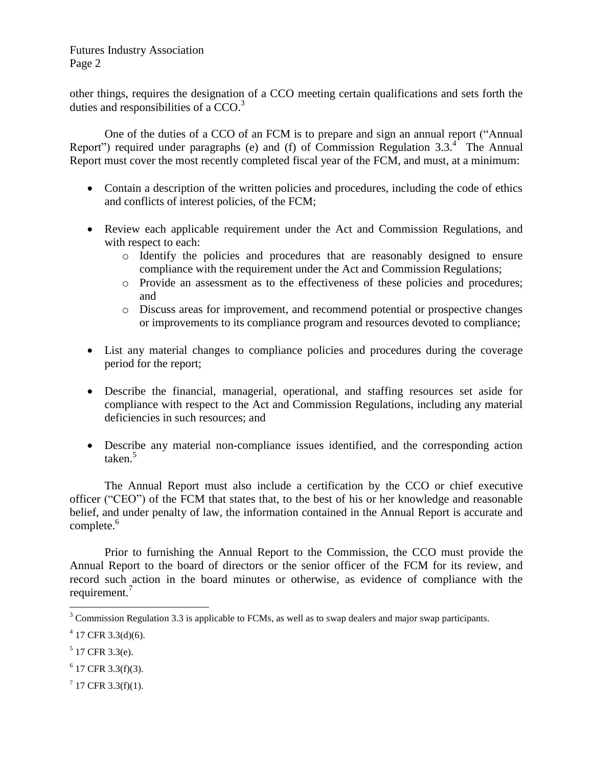other things, requires the designation of a CCO meeting certain qualifications and sets forth the duties and responsibilities of a CCO.<sup>3</sup>

One of the duties of a CCO of an FCM is to prepare and sign an annual report ("Annual Report") required under paragraphs (e) and (f) of Commission Regulation  $3.3<sup>4</sup>$ . The Annual Report must cover the most recently completed fiscal year of the FCM, and must, at a minimum:

- Contain a description of the written policies and procedures, including the code of ethics and conflicts of interest policies, of the FCM;
- Review each applicable requirement under the Act and Commission Regulations, and with respect to each:
	- o Identify the policies and procedures that are reasonably designed to ensure compliance with the requirement under the Act and Commission Regulations;
	- o Provide an assessment as to the effectiveness of these policies and procedures; and
	- o Discuss areas for improvement, and recommend potential or prospective changes or improvements to its compliance program and resources devoted to compliance;
- List any material changes to compliance policies and procedures during the coverage period for the report;
- Describe the financial, managerial, operational, and staffing resources set aside for compliance with respect to the Act and Commission Regulations, including any material deficiencies in such resources; and
- Describe any material non-compliance issues identified, and the corresponding action taken.<sup>5</sup>

The Annual Report must also include a certification by the CCO or chief executive officer ("CEO") of the FCM that states that, to the best of his or her knowledge and reasonable belief, and under penalty of law, the information contained in the Annual Report is accurate and complete.<sup>6</sup>

Prior to furnishing the Annual Report to the Commission, the CCO must provide the Annual Report to the board of directors or the senior officer of the FCM for its review, and record such action in the board minutes or otherwise, as evidence of compliance with the requirement.<sup>7</sup>

 $\overline{a}$ 

 $7$  17 CFR 3.3(f)(1).

 $3$  Commission Regulation 3.3 is applicable to FCMs, as well as to swap dealers and major swap participants.

 $4$  17 CFR 3.3(d)(6).

 $5$  17 CFR 3.3(e).

 $6$  17 CFR 3.3(f)(3).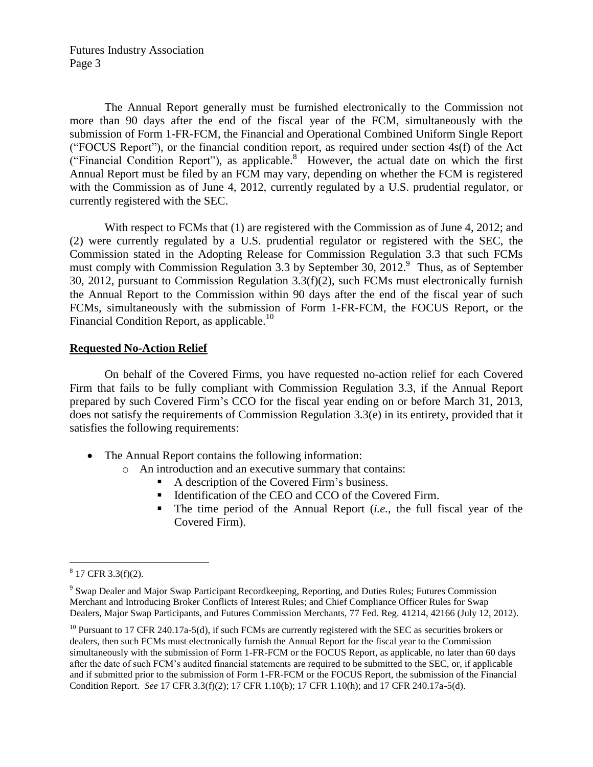The Annual Report generally must be furnished electronically to the Commission not more than 90 days after the end of the fiscal year of the FCM, simultaneously with the submission of Form 1-FR-FCM, the Financial and Operational Combined Uniform Single Report ("FOCUS Report"), or the financial condition report, as required under section 4s(f) of the Act ("Financial Condition Report"), as applicable. $8^{\circ}$  However, the actual date on which the first Annual Report must be filed by an FCM may vary, depending on whether the FCM is registered with the Commission as of June 4, 2012, currently regulated by a U.S. prudential regulator, or currently registered with the SEC.

With respect to FCMs that (1) are registered with the Commission as of June 4, 2012; and (2) were currently regulated by a U.S. prudential regulator or registered with the SEC, the Commission stated in the Adopting Release for Commission Regulation 3.3 that such FCMs must comply with Commission Regulation 3.3 by September 30,  $2012$ .<sup>9</sup> Thus, as of September 30, 2012, pursuant to Commission Regulation 3.3(f)(2), such FCMs must electronically furnish the Annual Report to the Commission within 90 days after the end of the fiscal year of such FCMs, simultaneously with the submission of Form 1-FR-FCM, the FOCUS Report, or the Financial Condition Report, as applicable.<sup>10</sup>

### **Requested No-Action Relief**

On behalf of the Covered Firms, you have requested no-action relief for each Covered Firm that fails to be fully compliant with Commission Regulation 3.3, if the Annual Report prepared by such Covered Firm's CCO for the fiscal year ending on or before March 31, 2013, does not satisfy the requirements of Commission Regulation 3.3(e) in its entirety, provided that it satisfies the following requirements:

- The Annual Report contains the following information:
	- o An introduction and an executive summary that contains:
		- A description of the Covered Firm's business.
		- Identification of the CEO and CCO of the Covered Firm.
		- The time period of the Annual Report (*i.e.*, the full fiscal year of the Covered Firm).

 $\overline{a}$ 

 $8\,$  17 CFR 3.3(f)(2).

<sup>&</sup>lt;sup>9</sup> Swap Dealer and Major Swap Participant Recordkeeping, Reporting, and Duties Rules; Futures Commission Merchant and Introducing Broker Conflicts of Interest Rules; and Chief Compliance Officer Rules for Swap Dealers, Major Swap Participants, and Futures Commission Merchants, 77 Fed. Reg. 41214, 42166 (July 12, 2012).

<sup>&</sup>lt;sup>10</sup> Pursuant to 17 CFR 240.17a-5(d), if such FCMs are currently registered with the SEC as securities brokers or dealers, then such FCMs must electronically furnish the Annual Report for the fiscal year to the Commission simultaneously with the submission of Form 1-FR-FCM or the FOCUS Report, as applicable, no later than 60 days after the date of such FCM's audited financial statements are required to be submitted to the SEC, or, if applicable and if submitted prior to the submission of Form 1-FR-FCM or the FOCUS Report, the submission of the Financial Condition Report. *See* 17 CFR 3.3(f)(2); 17 CFR 1.10(b); 17 CFR 1.10(h); and 17 CFR 240.17a-5(d).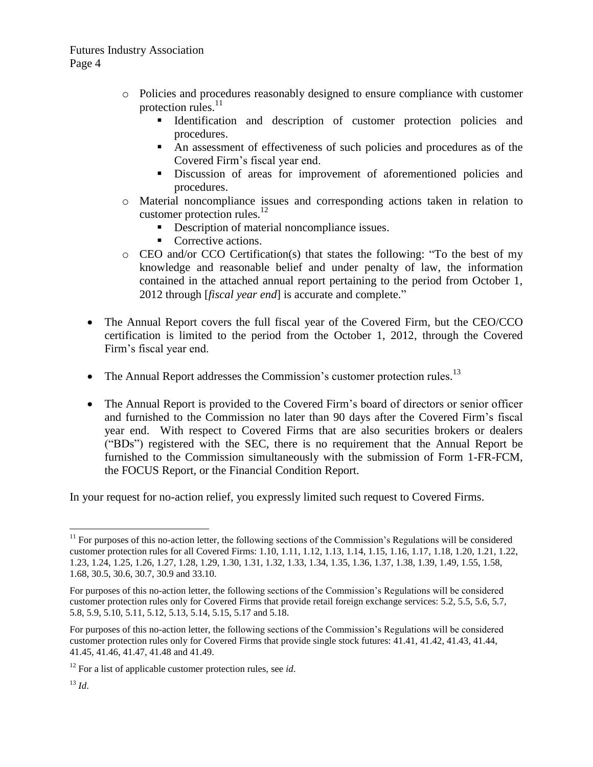- o Policies and procedures reasonably designed to ensure compliance with customer protection rules.<sup>11</sup>
	- Identification and description of customer protection policies and procedures.
	- An assessment of effectiveness of such policies and procedures as of the Covered Firm's fiscal year end.
	- Discussion of areas for improvement of aforementioned policies and procedures.
- o Material noncompliance issues and corresponding actions taken in relation to customer protection rules.<sup>12</sup>
	- Description of material noncompliance issues.
	- Corrective actions.
- o CEO and/or CCO Certification(s) that states the following: "To the best of my knowledge and reasonable belief and under penalty of law, the information contained in the attached annual report pertaining to the period from October 1, 2012 through [*fiscal year end*] is accurate and complete."
- The Annual Report covers the full fiscal year of the Covered Firm, but the CEO/CCO certification is limited to the period from the October 1, 2012, through the Covered Firm's fiscal year end.
- $\bullet$  The Annual Report addresses the Commission's customer protection rules.<sup>13</sup>
- The Annual Report is provided to the Covered Firm's board of directors or senior officer and furnished to the Commission no later than 90 days after the Covered Firm's fiscal year end. With respect to Covered Firms that are also securities brokers or dealers ("BDs") registered with the SEC, there is no requirement that the Annual Report be furnished to the Commission simultaneously with the submission of Form 1-FR-FCM, the FOCUS Report, or the Financial Condition Report.

In your request for no-action relief, you expressly limited such request to Covered Firms.

 $\overline{a}$  $11$  For purposes of this no-action letter, the following sections of the Commission's Regulations will be considered customer protection rules for all Covered Firms: 1.10, 1.11, 1.12, 1.13, 1.14, 1.15, 1.16, 1.17, 1.18, 1.20, 1.21, 1.22, 1.23, 1.24, 1.25, 1.26, 1.27, 1.28, 1.29, 1.30, 1.31, 1.32, 1.33, 1.34, 1.35, 1.36, 1.37, 1.38, 1.39, 1.49, 1.55, 1.58, 1.68, 30.5, 30.6, 30.7, 30.9 and 33.10.

For purposes of this no-action letter, the following sections of the Commission's Regulations will be considered customer protection rules only for Covered Firms that provide retail foreign exchange services: 5.2, 5.5, 5.6, 5.7, 5.8, 5.9, 5.10, 5.11, 5.12, 5.13, 5.14, 5.15, 5.17 and 5.18.

For purposes of this no-action letter, the following sections of the Commission's Regulations will be considered customer protection rules only for Covered Firms that provide single stock futures: 41.41, 41.42, 41.43, 41.44, 41.45, 41.46, 41.47, 41.48 and 41.49.

<sup>12</sup> For a list of applicable customer protection rules, see *id*.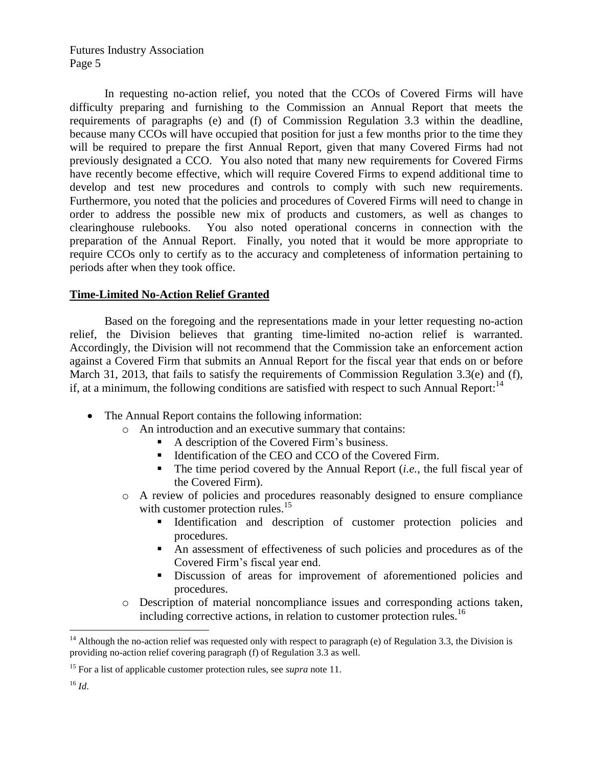In requesting no-action relief, you noted that the CCOs of Covered Firms will have difficulty preparing and furnishing to the Commission an Annual Report that meets the requirements of paragraphs (e) and (f) of Commission Regulation 3.3 within the deadline, because many CCOs will have occupied that position for just a few months prior to the time they will be required to prepare the first Annual Report, given that many Covered Firms had not previously designated a CCO. You also noted that many new requirements for Covered Firms have recently become effective, which will require Covered Firms to expend additional time to develop and test new procedures and controls to comply with such new requirements. Furthermore, you noted that the policies and procedures of Covered Firms will need to change in order to address the possible new mix of products and customers, as well as changes to clearinghouse rulebooks. You also noted operational concerns in connection with the preparation of the Annual Report. Finally, you noted that it would be more appropriate to require CCOs only to certify as to the accuracy and completeness of information pertaining to periods after when they took office.

### **Time-Limited No-Action Relief Granted**

Based on the foregoing and the representations made in your letter requesting no-action relief, the Division believes that granting time-limited no-action relief is warranted. Accordingly, the Division will not recommend that the Commission take an enforcement action against a Covered Firm that submits an Annual Report for the fiscal year that ends on or before March 31, 2013, that fails to satisfy the requirements of Commission Regulation 3.3(e) and (f), if, at a minimum, the following conditions are satisfied with respect to such Annual Report:<sup>14</sup>

- The Annual Report contains the following information:
	- o An introduction and an executive summary that contains:
		- A description of the Covered Firm's business.
		- Identification of the CEO and CCO of the Covered Firm.
		- $\blacksquare$  The time period covered by the Annual Report *(i.e., the full fiscal year of* the Covered Firm).
	- o A review of policies and procedures reasonably designed to ensure compliance with customer protection rules.<sup>15</sup>
		- Identification and description of customer protection policies and procedures.
		- An assessment of effectiveness of such policies and procedures as of the Covered Firm's fiscal year end.
		- Discussion of areas for improvement of aforementioned policies and procedures.
	- o Description of material noncompliance issues and corresponding actions taken, including corrective actions, in relation to customer protection rules.<sup>16</sup>

 $\overline{a}$ 

<sup>&</sup>lt;sup>14</sup> Although the no-action relief was requested only with respect to paragraph (e) of Regulation 3.3, the Division is providing no-action relief covering paragraph (f) of Regulation 3.3 as well.

<sup>15</sup> For a list of applicable customer protection rules, see *supra* note 11.

 $16$  *Id.*